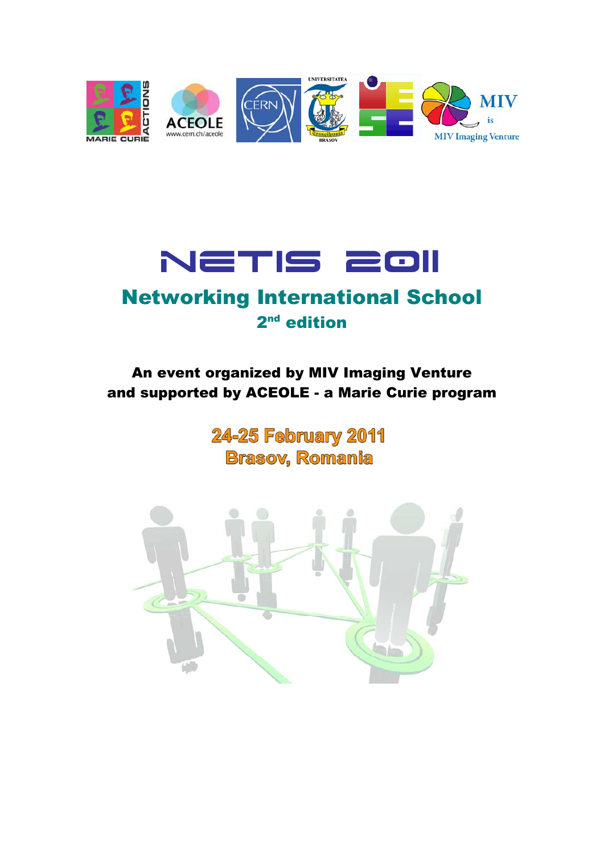



# Networking International School 2<sup>nd</sup> edition

# An event organized by MIV Imaging Venture and supported by ACEOLE - a Marie Curie program

**24-25 February 2011 Brasov, Romania** 

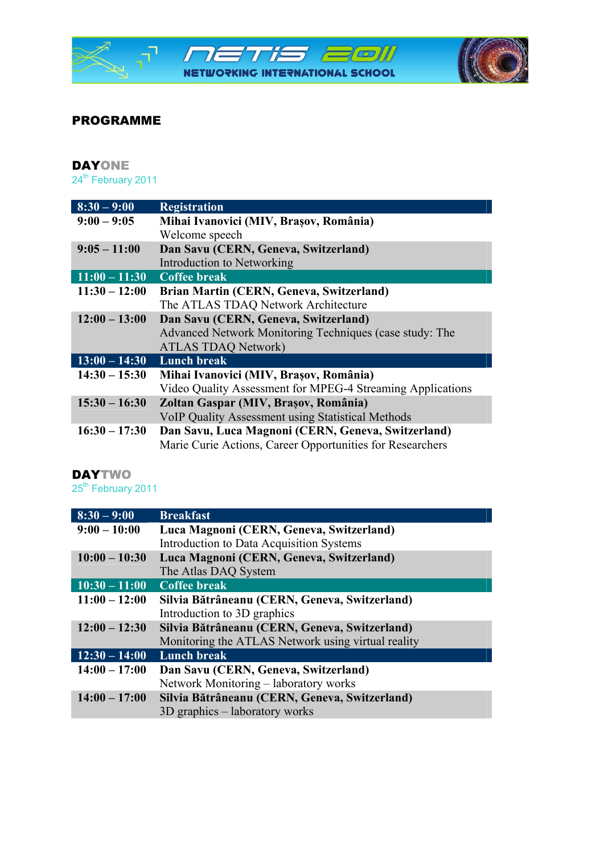

# PROGRAMME

#### DAYONE 24<sup>th</sup> February 2011

| $8:30 - 9:00$               | <b>Registration</b>                                        |
|-----------------------------|------------------------------------------------------------|
| $9:00 - 9:05$               | Mihai Ivanovici (MIV, Brașov, România)                     |
|                             | Welcome speech                                             |
| $9:05 - 11:00$              | Dan Savu (CERN, Geneva, Switzerland)                       |
|                             | Introduction to Networking                                 |
| $11:00 - 11:30$             | <b>Coffee break</b>                                        |
| $11:30 - 12:00$             | Brian Martin (CERN, Geneva, Switzerland)                   |
|                             | The ATLAS TDAQ Network Architecture                        |
| $12:00 - 13:00$             | Dan Savu (CERN, Geneva, Switzerland)                       |
|                             | Advanced Network Monitoring Techniques (case study: The    |
|                             | <b>ATLAS TDAQ Network)</b>                                 |
| $13:00 - 14:30$ Lunch break |                                                            |
| $14:30 - 15:30$             | Mihai Ivanovici (MIV, Brașov, România)                     |
|                             | Video Quality Assessment for MPEG-4 Streaming Applications |
| $15:30 - 16:30$             | Zoltan Gaspar (MIV, Brașov, România)                       |
|                             | <b>VoIP Quality Assessment using Statistical Methods</b>   |
| $16:30 - 17:30$             | Dan Savu, Luca Magnoni (CERN, Geneva, Switzerland)         |
|                             | Marie Curie Actions, Career Opportunities for Researchers  |

# **DAYTWO**

25<sup>th</sup> February 2011

| $8:30 - 9:00$   | <b>Breakfast</b>                                   |
|-----------------|----------------------------------------------------|
| $9:00 - 10:00$  | Luca Magnoni (CERN, Geneva, Switzerland)           |
|                 | Introduction to Data Acquisition Systems           |
| $10:00 - 10:30$ | Luca Magnoni (CERN, Geneva, Switzerland)           |
|                 | The Atlas DAQ System                               |
| $10:30 - 11:00$ | <b>Coffee break</b>                                |
| $11:00 - 12:00$ | Silvia Bătrâneanu (CERN, Geneva, Switzerland)      |
|                 | Introduction to 3D graphics                        |
| $12:00 - 12:30$ | Silvia Bătrâneanu (CERN, Geneva, Switzerland)      |
|                 | Monitoring the ATLAS Network using virtual reality |
| $12:30 - 14:00$ | <b>Lunch break</b>                                 |
| $14:00 - 17:00$ | Dan Savu (CERN, Geneva, Switzerland)               |
|                 | Network Monitoring – laboratory works              |
| $14:00 - 17:00$ | Silvia Bătrâneanu (CERN, Geneva, Switzerland)      |
|                 | 3D graphics – laboratory works                     |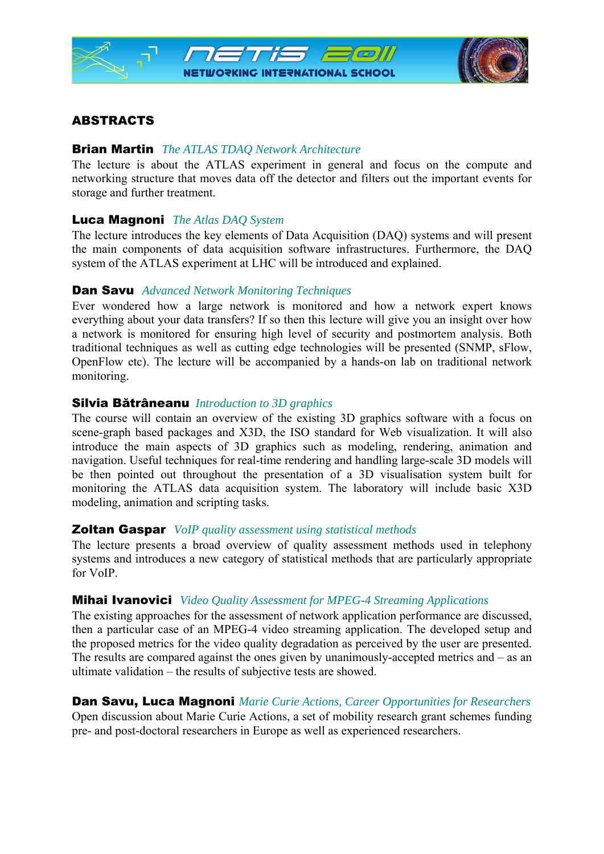

# **ABSTRACTS**

#### Brian Martin *The ATLAS TDAQ Network Architecture*

The lecture is about the ATLAS experiment in general and focus on the compute and networking structure that moves data off the detector and filters out the important events for storage and further treatment.

#### Luca Magnoni *The Atlas DAQ System*

The lecture introduces the key elements of Data Acquisition (DAQ) systems and will present the main components of data acquisition software infrastructures. Furthermore, the DAQ system of the ATLAS experiment at LHC will be introduced and explained.

#### Dan Savu *Advanced Network Monitoring Techniques*

Ever wondered how a large network is monitored and how a network expert knows everything about your data transfers? If so then this lecture will give you an insight over how a network is monitored for ensuring high level of security and postmortem analysis. Both traditional techniques as well as cutting edge technologies will be presented (SNMP, sFlow, OpenFlow etc). The lecture will be accompanied by a hands-on lab on traditional network monitoring.

#### Silvia Bătrâneanu *Introduction to 3D graphics*

The course will contain an overview of the existing 3D graphics software with a focus on scene-graph based packages and X3D, the ISO standard for Web visualization. It will also introduce the main aspects of 3D graphics such as modeling, rendering, animation and navigation. Useful techniques for real-time rendering and handling large-scale 3D models will be then pointed out throughout the presentation of a 3D visualisation system built for monitoring the ATLAS data acquisition system. The laboratory will include basic X3D modeling, animation and scripting tasks.

#### Zoltan Gaspar *VoIP quality assessment using statistical methods*

The lecture presents a broad overview of quality assessment methods used in telephony systems and introduces a new category of statistical methods that are particularly appropriate for VoIP.

#### Mihai Ivanovici *Video Quality Assessment for MPEG-4 Streaming Applications*

The existing approaches for the assessment of network application performance are discussed, then a particular case of an MPEG-4 video streaming application. The developed setup and the proposed metrics for the video quality degradation as perceived by the user are presented. The results are compared against the ones given by unanimously-accepted metrics and – as an ultimate validation – the results of subjective tests are showed.

# Dan Savu, Luca Magnoni *Marie Curie Actions, Career Opportunities for Researchers*

Open discussion about Marie Curie Actions, a set of mobility research grant schemes funding pre- and post-doctoral researchers in Europe as well as experienced researchers.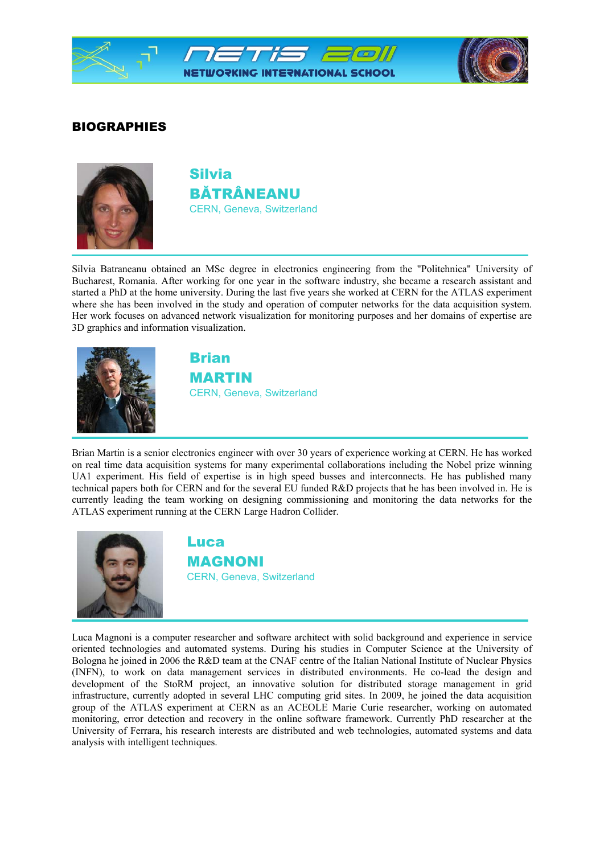

# BIOGRAPHIES



Silvia BĂTRÂNEANU CERN, Geneva, Switzerland

Silvia Batraneanu obtained an MSc degree in electronics engineering from the "Politehnica" University of Bucharest, Romania. After working for one year in the software industry, she became a research assistant and started a PhD at the home university. During the last five years she worked at CERN for the ATLAS experiment where she has been involved in the study and operation of computer networks for the data acquisition system. Her work focuses on advanced network visualization for monitoring purposes and her domains of expertise are 3D graphics and information visualization.



Brian MARTIN CERN, Geneva, Switzerland

Brian Martin is a senior electronics engineer with over 30 years of experience working at CERN. He has worked on real time data acquisition systems for many experimental collaborations including the Nobel prize winning UA1 experiment. His field of expertise is in high speed busses and interconnects. He has published many technical papers both for CERN and for the several EU funded R&D projects that he has been involved in. He is currently leading the team working on designing commissioning and monitoring the data networks for the ATLAS experiment running at the CERN Large Hadron Collider.



Luca MAGNONI CERN, Geneva, Switzerland

Luca Magnoni is a computer researcher and software architect with solid background and experience in service oriented technologies and automated systems. During his studies in Computer Science at the University of Bologna he joined in 2006 the R&D team at the CNAF centre of the Italian National Institute of Nuclear Physics (INFN), to work on data management services in distributed environments. He co-lead the design and development of the StoRM project, an innovative solution for distributed storage management in grid infrastructure, currently adopted in several LHC computing grid sites. In 2009, he joined the data acquisition group of the ATLAS experiment at CERN as an ACEOLE Marie Curie researcher, working on automated monitoring, error detection and recovery in the online software framework. Currently PhD researcher at the University of Ferrara, his research interests are distributed and web technologies, automated systems and data analysis with intelligent techniques.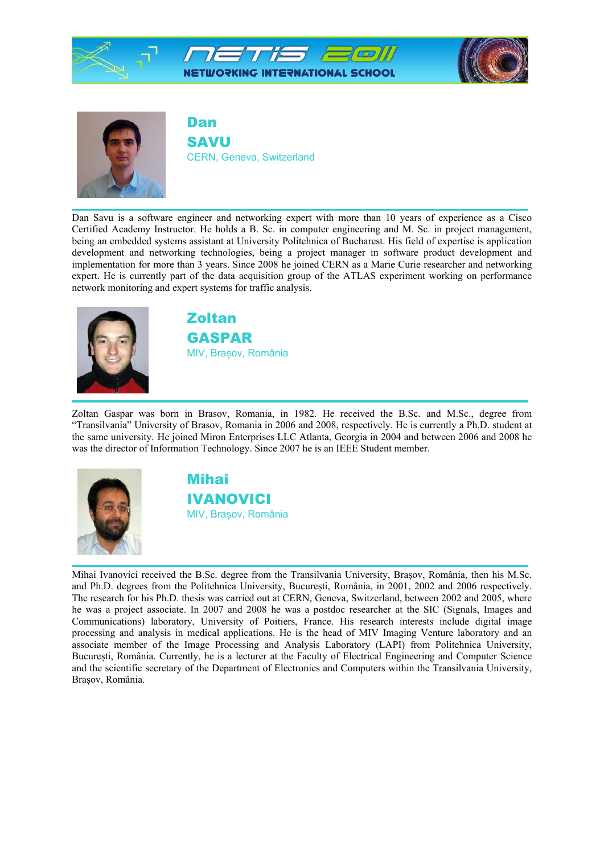



Dan SAVU CERN, Geneva, Switzerland

Dan Savu is a software engineer and networking expert with more than 10 years of experience as a Cisco Certified Academy Instructor. He holds a B. Sc. in computer engineering and M. Sc. in project management, being an embedded systems assistant at University Politehnica of Bucharest. His field of expertise is application development and networking technologies, being a project manager in software product development and implementation for more than 3 years. Since 2008 he joined CERN as a Marie Curie researcher and networking expert. He is currently part of the data acquisition group of the ATLAS experiment working on performance network monitoring and expert systems for traffic analysis.



Zoltan GASPAR MIV, Brașov, România

Zoltan Gaspar was born in Brasov, Romania, in 1982. He received the B.Sc. and M.Sc., degree from "Transilvania" University of Brasov, Romania in 2006 and 2008, respectively. He is currently a Ph.D. student at the same university. He joined Miron Enterprises LLC Atlanta, Georgia in 2004 and between 2006 and 2008 he was the director of Information Technology. Since 2007 he is an IEEE Student member.



Mihai IVANOVICI MIV, Brașov, România

Mihai Ivanovici received the B.Sc. degree from the Transilvania University, Brașov, România, then his M.Sc. and Ph.D. degrees from the Politehnica University, București, România, in 2001, 2002 and 2006 respectively. The research for his Ph.D. thesis was carried out at CERN, Geneva, Switzerland, between 2002 and 2005, where he was a project associate. In 2007 and 2008 he was a postdoc researcher at the SIC (Signals, Images and Communications) laboratory, University of Poitiers, France. His research interests include digital image processing and analysis in medical applications. He is the head of MIV Imaging Venture laboratory and an associate member of the Image Processing and Analysis Laboratory (LAPI) from Politehnica University, București, România. Currently, he is a lecturer at the Faculty of Electrical Engineering and Computer Science and the scientific secretary of the Department of Electronics and Computers within the Transilvania University, Brașov, România.